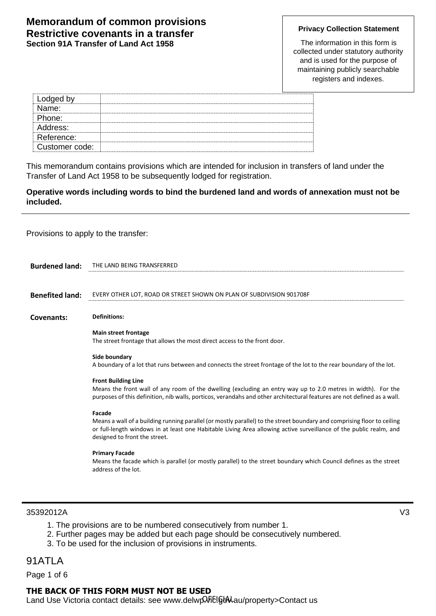### **Memorandum of common provisions Restrictive covenants in a transfer Section 91A Transfer of Land Act 1958**

### **Privacy Collection Statement**

The information in this form is collected under statutory authority and is used for the purpose of maintaining publicly searchable registers and indexes.

This memorandum contains provisions which are intended for inclusion in transfers of land under the Transfer of Land Act 1958 to be subsequently lodged for registration.

**Operative words including words to bind the burdened land and words of annexation must not be included.**

Provisions to apply to the transfer:

| <b>Burdened land:</b>  | THE LAND BEING TRANSFERRED                                                                                                                                                                                                                                                               |
|------------------------|------------------------------------------------------------------------------------------------------------------------------------------------------------------------------------------------------------------------------------------------------------------------------------------|
|                        |                                                                                                                                                                                                                                                                                          |
| <b>Benefited land:</b> | EVERY OTHER LOT, ROAD OR STREET SHOWN ON PLAN OF SUBDIVISION 901708F                                                                                                                                                                                                                     |
| Covenants:             | <b>Definitions:</b>                                                                                                                                                                                                                                                                      |
|                        | <b>Main street frontage</b><br>The street frontage that allows the most direct access to the front door.                                                                                                                                                                                 |
|                        | Side boundary<br>A boundary of a lot that runs between and connects the street frontage of the lot to the rear boundary of the lot.                                                                                                                                                      |
|                        | <b>Front Building Line</b><br>Means the front wall of any room of the dwelling (excluding an entry way up to 2.0 metres in width). For the<br>purposes of this definition, nib walls, porticos, verandahs and other architectural features are not defined as a wall.                    |
|                        | Facade<br>Means a wall of a building running parallel (or mostly parallel) to the street boundary and comprising floor to ceiling<br>or full-length windows in at least one Habitable Living Area allowing active surveillance of the public realm, and<br>designed to front the street. |
|                        | <b>Primary Facade</b><br>Means the facade which is parallel (or mostly parallel) to the street boundary which Council defines as the street<br>address of the lot.                                                                                                                       |
|                        |                                                                                                                                                                                                                                                                                          |

### 35392012A V3

- 1. The provisions are to be numbered consecutively from number 1.
- 2. Further pages may be added but each page should be consecutively numbered.
- 3. To be used for the inclusion of provisions in instruments.

# 91ATLA

Page 1 of 6

## **THE BACK OF THIS FORM MUST NOT BE USED**

Land Use Victoria contact details: see www.delwp. Filgow.au/property>Contact us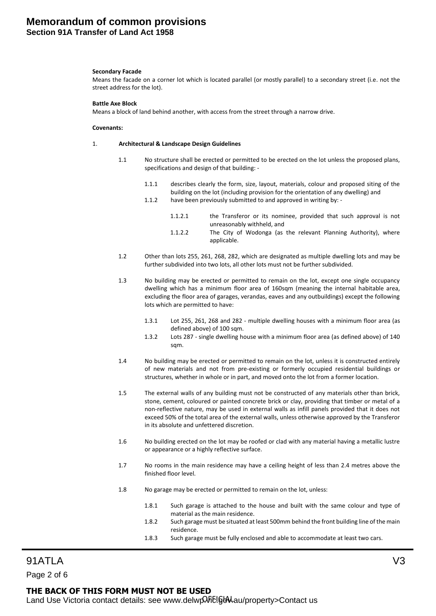### **Memorandum of common provisions Section 91A Transfer of Land Act 1958**

#### **Secondary Facade**

Means the facade on a corner lot which is located parallel (or mostly parallel) to a secondary street (i.e. not the street address for the lot).

#### **Battle Axe Block**

Means a block of land behind another, with access from the street through a narrow drive.

#### **Covenants:**

#### 1. **Architectural & Landscape Design Guidelines**

- 1.1 No structure shall be erected or permitted to be erected on the lot unless the proposed plans, specifications and design of that building: -
	- 1.1.1 describes clearly the form, size, layout, materials, colour and proposed siting of the building on the lot (including provision for the orientation of any dwelling) and
	- 1.1.2 have been previously submitted to and approved in writing by:
		- 1.1.2.1 the Transferor or its nominee, provided that such approval is not unreasonably withheld, and
		- 1.1.2.2 The City of Wodonga (as the relevant Planning Authority), where applicable.
- 1.2 Other than lots 255, 261, 268, 282, which are designated as multiple dwelling lots and may be further subdivided into two lots, all other lots must not be further subdivided.
- 1.3 No building may be erected or permitted to remain on the lot, except one single occupancy dwelling which has a minimum floor area of 160sqm (meaning the internal habitable area, excluding the floor area of garages, verandas, eaves and any outbuildings) except the following lots which are permitted to have:
	- 1.3.1 Lot 255, 261, 268 and 282 multiple dwelling houses with a minimum floor area (as defined above) of 100 sqm.
	- 1.3.2 Lots 287 single dwelling house with a minimum floor area (as defined above) of 140 sqm.
- 1.4 No building may be erected or permitted to remain on the lot, unless it is constructed entirely of new materials and not from pre-existing or formerly occupied residential buildings or structures, whether in whole or in part, and moved onto the lot from a former location.
- 1.5 The external walls of any building must not be constructed of any materials other than brick, stone, cement, coloured or painted concrete brick or clay, providing that timber or metal of a non-reflective nature, may be used in external walls as infill panels provided that it does not exceed 50% of the total area of the external walls, unless otherwise approved by the Transferor in its absolute and unfettered discretion.
- 1.6 No building erected on the lot may be roofed or clad with any material having a metallic lustre or appearance or a highly reflective surface.
- 1.7 No rooms in the main residence may have a ceiling height of less than 2.4 metres above the finished floor level.
- 1.8 No garage may be erected or permitted to remain on the lot, unless:
	- 1.8.1 Such garage is attached to the house and built with the same colour and type of material as the main residence.
	- 1.8.2 Such garage must be situated at least 500mm behind the front building line of the main residence.
	- 1.8.3 Such garage must be fully enclosed and able to accommodate at least two cars.

91ATLA V3 Page 2 of 6

# **THE BACK OF THIS FORM MUST NOT BE USED**

Land Use Victoria contact details: see www.delwp. Filgb. au/property>Contact us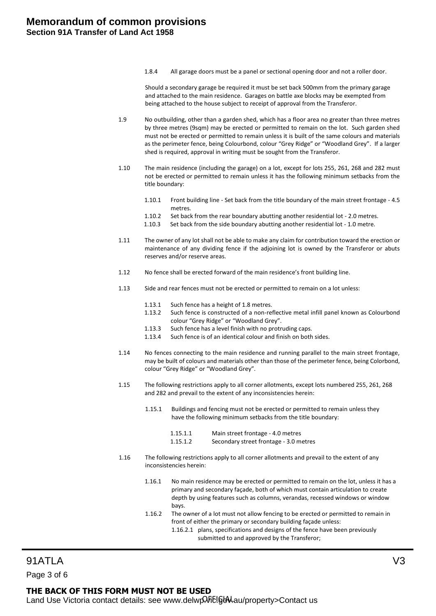1.8.4 All garage doors must be a panel or sectional opening door and not a roller door.

Should a secondary garage be required it must be set back 500mm from the primary garage and attached to the main residence. Garages on battle axe blocks may be exempted from being attached to the house subject to receipt of approval from the Transferor.

- 1.9 No outbuilding, other than a garden shed, which has a floor area no greater than three metres by three metres (9sqm) may be erected or permitted to remain on the lot. Such garden shed must not be erected or permitted to remain unless it is built of the same colours and materials as the perimeter fence, being Colourbond, colour "Grey Ridge" or "Woodland Grey". If a larger shed is required, approval in writing must be sought from the Transferor.
- 1.10 The main residence (including the garage) on a lot, except for lots 255, 261, 268 and 282 must not be erected or permitted to remain unless it has the following minimum setbacks from the title boundary:
	- 1.10.1 Front building line Set back from the title boundary of the main street frontage 4.5 metres.
	- 1.10.2 Set back from the rear boundary abutting another residential lot 2.0 metres.
	- 1.10.3 Set back from the side boundary abutting another residential lot 1.0 metre.
- 1.11 The owner of any lot shall not be able to make any claim for contribution toward the erection or maintenance of any dividing fence if the adjoining lot is owned by the Transferor or abuts reserves and/or reserve areas.
- 1.12 No fence shall be erected forward of the main residence's front building line.
- 1.13 Side and rear fences must not be erected or permitted to remain on a lot unless:
	- 1.13.1 Such fence has a height of 1.8 metres.
	- 1.13.2 Such fence is constructed of a non-reflective metal infill panel known as Colourbond colour "Grey Ridge" or "Woodland Grey".
	- 1.13.3 Such fence has a level finish with no protruding caps.
	- 1.13.4 Such fence is of an identical colour and finish on both sides.
- 1.14 No fences connecting to the main residence and running parallel to the main street frontage, may be built of colours and materials other than those of the perimeter fence, being Colorbond, colour "Grey Ridge" or "Woodland Grey".
- 1.15 The following restrictions apply to all corner allotments, except lots numbered 255, 261, 268 and 282 and prevail to the extent of any inconsistencies herein:
	- 1.15.1 Buildings and fencing must not be erected or permitted to remain unless they have the following minimum setbacks from the title boundary:
		- 1.15.1.1 Main street frontage 4.0 metres
		- 1.15.1.2 Secondary street frontage 3.0 metres
- 1.16 The following restrictions apply to all corner allotments and prevail to the extent of any inconsistencies herein:
	- 1.16.1 No main residence may be erected or permitted to remain on the lot, unless it has a primary and secondary façade, both of which must contain articulation to create depth by using features such as columns, verandas, recessed windows or window bays.
	- 1.16.2 The owner of a lot must not allow fencing to be erected or permitted to remain in front of either the primary or secondary building façade unless:
		- 1.16.2.1 plans, specifications and designs of the fence have been previously submitted to and approved by the Transferor;

91ATLA V3 Page 3 of 6

## **THE BACK OF THIS FORM MUST NOT BE USED**

Land Use Victoria contact details: see www.delwp. Filgble.au/property>Contact us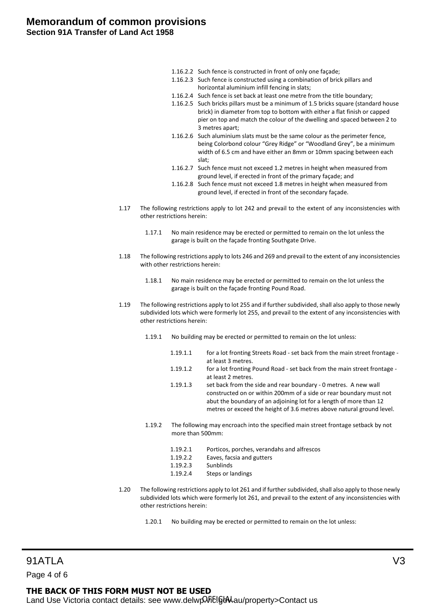- 1.16.2.2 Such fence is constructed in front of only one façade;
- 1.16.2.3 Such fence is constructed using a combination of brick pillars and horizontal aluminium infill fencing in slats;
- 1.16.2.4 Such fence is set back at least one metre from the title boundary;
- 1.16.2.5 Such bricks pillars must be a minimum of 1.5 bricks square (standard house brick) in diameter from top to bottom with either a flat finish or capped pier on top and match the colour of the dwelling and spaced between 2 to 3 metres apart;
- 1.16.2.6 Such aluminium slats must be the same colour as the perimeter fence, being Colorbond colour "Grey Ridge" or "Woodland Grey", be a minimum width of 6.5 cm and have either an 8mm or 10mm spacing between each slat;
- 1.16.2.7 Such fence must not exceed 1.2 metres in height when measured from ground level, if erected in front of the primary façade; and
- 1.16.2.8 Such fence must not exceed 1.8 metres in height when measured from ground level, if erected in front of the secondary façade.
- 1.17 The following restrictions apply to lot 242 and prevail to the extent of any inconsistencies with other restrictions herein:
	- 1.17.1 No main residence may be erected or permitted to remain on the lot unless the garage is built on the façade fronting Southgate Drive.
- 1.18 The following restrictions apply to lots 246 and 269 and prevail to the extent of any inconsistencies with other restrictions herein:
	- 1.18.1 No main residence may be erected or permitted to remain on the lot unless the garage is built on the façade fronting Pound Road.
- 1.19 The following restrictions apply to lot 255 and if further subdivided, shall also apply to those newly subdivided lots which were formerly lot 255, and prevail to the extent of any inconsistencies with other restrictions herein:
	- 1.19.1 No building may be erected or permitted to remain on the lot unless:
		- 1.19.1.1 for a lot fronting Streets Road set back from the main street frontage at least 3 metres.
		- 1.19.1.2 for a lot fronting Pound Road set back from the main street frontage at least 2 metres.
		- 1.19.1.3 set back from the side and rear boundary 0 metres. A new wall constructed on or within 200mm of a side or rear boundary must not abut the boundary of an adjoining lot for a length of more than 12 metres or exceed the height of 3.6 metres above natural ground level.
	- 1.19.2 The following may encroach into the specified main street frontage setback by not more than 500mm:
		- 1.19.2.1 Porticos, porches, verandahs and alfrescos
		- 1.19.2.2 Eaves, facsia and gutters
		- 1.19.2.3 Sunblinds
		- 1.19.2.4 Steps or landings
- 1.20 The following restrictions apply to lot 261 and if further subdivided, shall also apply to those newly subdivided lots which were formerly lot 261, and prevail to the extent of any inconsistencies with other restrictions herein:
	- 1.20.1 No building may be erected or permitted to remain on the lot unless:

91ATLA V3

Page 4 of 6

## **THE BACK OF THIS FORM MUST NOT BE USED**

Land Use Victoria contact details: see www.delwp. Filgow.au/property>Contact us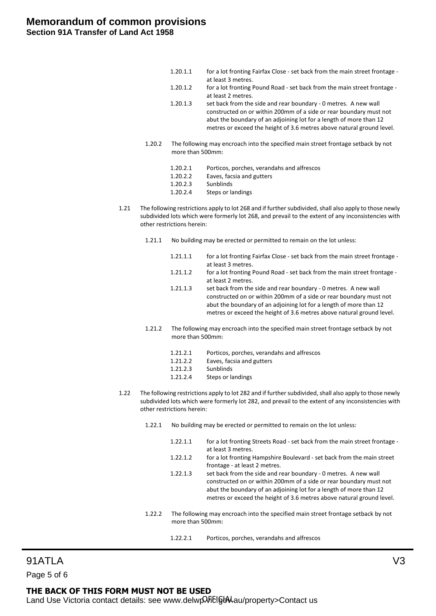| 1.20.1.1 | for a lot fronting Fairfax Close - set back from the main street frontage - |
|----------|-----------------------------------------------------------------------------|
|          | at least 3 metres.                                                          |
| 1.20.1.2 | for a lot fronting Pound Road - set back from the main street frontage -    |
|          | at least 2 metres.                                                          |

- 1.20.1.3 set back from the side and rear boundary 0 metres. A new wall constructed on or within 200mm of a side or rear boundary must not abut the boundary of an adjoining lot for a length of more than 12 metres or exceed the height of 3.6 metres above natural ground level.
- 1.20.2 The following may encroach into the specified main street frontage setback by not more than 500mm:
	- 1.20.2.1 Porticos, porches, verandahs and alfrescos 1.20.2.2 Eaves, facsia and gutters
	- 1.20.2.3 Sunblinds
	- 1.20.2.4 Steps or landings
- 1.21 The following restrictions apply to lot 268 and if further subdivided, shall also apply to those newly subdivided lots which were formerly lot 268, and prevail to the extent of any inconsistencies with other restrictions herein:
	- 1.21.1 No building may be erected or permitted to remain on the lot unless:
		- 1.21.1.1 for a lot fronting Fairfax Close set back from the main street frontage at least 3 metres.
		- 1.21.1.2 for a lot fronting Pound Road set back from the main street frontage at least 2 metres.
		- 1.21.1.3 set back from the side and rear boundary 0 metres. A new wall constructed on or within 200mm of a side or rear boundary must not abut the boundary of an adjoining lot for a length of more than 12 metres or exceed the height of 3.6 metres above natural ground level.
	- 1.21.2 The following may encroach into the specified main street frontage setback by not more than 500mm:
		- 1.21.2.1 Porticos, porches, verandahs and alfrescos
		- 1.21.2.2 Eaves, facsia and gutters
		- 1.21.2.3 Sunblinds
		- 1.21.2.4 Steps or landings
- 1.22 The following restrictions apply to lot 282 and if further subdivided, shall also apply to those newly subdivided lots which were formerly lot 282, and prevail to the extent of any inconsistencies with other restrictions herein:
	- 1.22.1 No building may be erected or permitted to remain on the lot unless:
		- 1.22.1.1 for a lot fronting Streets Road set back from the main street frontage at least 3 metres.
		- 1.22.1.2 for a lot fronting Hampshire Boulevard set back from the main street frontage - at least 2 metres.
		- 1.22.1.3 set back from the side and rear boundary 0 metres. A new wall constructed on or within 200mm of a side or rear boundary must not abut the boundary of an adjoining lot for a length of more than 12 metres or exceed the height of 3.6 metres above natural ground level.
	- 1.22.2 The following may encroach into the specified main street frontage setback by not more than 500mm:
		- 1.22.2.1 Porticos, porches, verandahs and alfrescos

# 91ATLA V3

Page 5 of 6

## **THE BACK OF THIS FORM MUST NOT BE USED**

Land Use Victoria contact details: see www.delwp. Filgow.au/property>Contact us